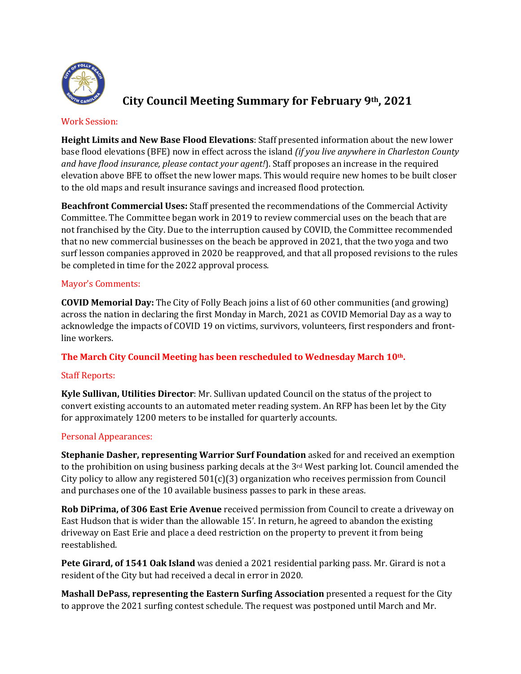

# **City Council Meeting Summary for February 9th, 2021**

### Work Session:

**Height Limits and New Base Flood Elevations**: Staff presented information about the new lower base flood elevations (BFE) now in effect across the island *(if you live anywhere in Charleston County and have flood insurance, please contact your agent!*). Staff proposes an increase in the required elevation above BFE to offset the new lower maps. This would require new homes to be built closer to the old maps and result insurance savings and increased flood protection.

**Beachfront Commercial Uses:** Staff presented the recommendations of the Commercial Activity Committee. The Committee began work in 2019 to review commercial uses on the beach that are not franchised by the City. Due to the interruption caused by COVID, the Committee recommended that no new commercial businesses on the beach be approved in 2021, that the two yoga and two surf lesson companies approved in 2020 be reapproved, and that all proposed revisions to the rules be completed in time for the 2022 approval process.

# Mayor's Comments:

**COVID Memorial Day:** The City of Folly Beach joins a list of 60 other communities (and growing) across the nation in declaring the first Monday in March, 2021 as COVID Memorial Day as a way to acknowledge the impacts of COVID 19 on victims, survivors, volunteers, first responders and frontline workers.

# **The March City Council Meeting has been rescheduled to Wednesday March 10th.**

# Staff Reports:

**Kyle Sullivan, Utilities Director**: Mr. Sullivan updated Council on the status of the project to convert existing accounts to an automated meter reading system. An RFP has been let by the City for approximately 1200 meters to be installed for quarterly accounts.

#### Personal Appearances:

**Stephanie Dasher, representing Warrior Surf Foundation** asked for and received an exemption to the prohibition on using business parking decals at the  $3<sup>rd</sup>$  West parking lot. Council amended the City policy to allow any registered  $501(c)(3)$  organization who receives permission from Council and purchases one of the 10 available business passes to park in these areas.

**Rob DiPrima, of 306 East Erie Avenue** received permission from Council to create a driveway on East Hudson that is wider than the allowable 15'. In return, he agreed to abandon the existing driveway on East Erie and place a deed restriction on the property to prevent it from being reestablished.

**Pete Girard, of 1541 Oak Island** was denied a 2021 residential parking pass. Mr. Girard is not a resident of the City but had received a decal in error in 2020.

**Mashall DePass, representing the Eastern Surfing Association** presented a request for the City to approve the 2021 surfing contest schedule. The request was postponed until March and Mr.